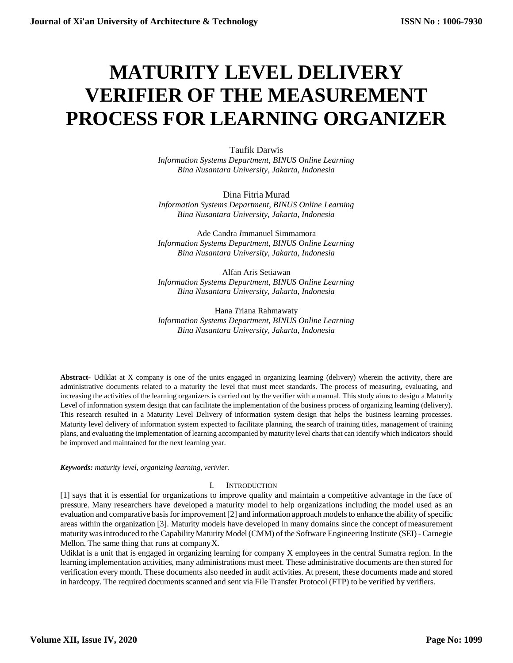# **MATURITY LEVEL DELIVERY VERIFIER OF THE MEASUREMENT PROCESS FOR LEARNING ORGANIZER**

Taufik Darwis *Information Systems Department, BINUS Online Learning Bina Nusantara University, Jakarta, Indonesia*

Dina Fitria Murad *Information Systems Department, BINUS Online Learning Bina Nusantara University, Jakarta, Indonesia* 

Ade Candra *I*mmanuel Simmamora *Information Systems Department, BINUS Online Learning Bina Nusantara University, Jakarta, Indonesia*

Alfan Aris Setiawan *Information Systems Department, BINUS Online Learning Bina Nusantara University, Jakarta, Indonesia*

Hana *T*riana Rahmawaty *Information Systems Department, BINUS Online Learning Bina Nusantara University, Jakarta, Indonesia*

**Abstract-** Udiklat at X company is one of the units engaged in organizing learning (delivery) wherein the activity, there are administrative documents related to a maturity the level that must meet standards. The process of measuring, evaluating, and increasing the activities of the learning organizers is carried out by the verifier with a manual. This study aims to design a Maturity Level of information system design that can facilitate the implementation of the business process of organizing learning (delivery). This research resulted in a Maturity Level Delivery of information system design that helps the business learning processes. Maturity level delivery of information system expected to facilitate planning, the search of training titles, management of training plans, and evaluating the implementation of learning accompanied by maturity level charts that can identify which indicators should be improved and maintained for the next learning year.

*Keywords: maturity level, organizing learning, verivier.*

### I. INTRODUCTION

[1] says that it is essential for organizations to improve quality and maintain a competitive advantage in the face of pressure. Many researchers have developed a maturity model to help organizations including the model used as an evaluation and comparative basis for improvement [2] and information approach models to enhance the ability of specific areas within the organization [3]. Maturity models have developed in many domains since the concept of measurement maturity wasintroduced to the Capability Maturity Model(CMM) of the Software Engineering Institute (SEI) - Carnegie Mellon. The same thing that runs at companyX.

Udiklat is a unit that is engaged in organizing learning for company X employees in the central Sumatra region. In the learning implementation activities, many administrations must meet. These administrative documents are then stored for verification every month. These documents also needed in audit activities. At present, these documents made and stored in hardcopy. The required documents scanned and sent via File Transfer Protocol (FTP) to be verified by verifiers.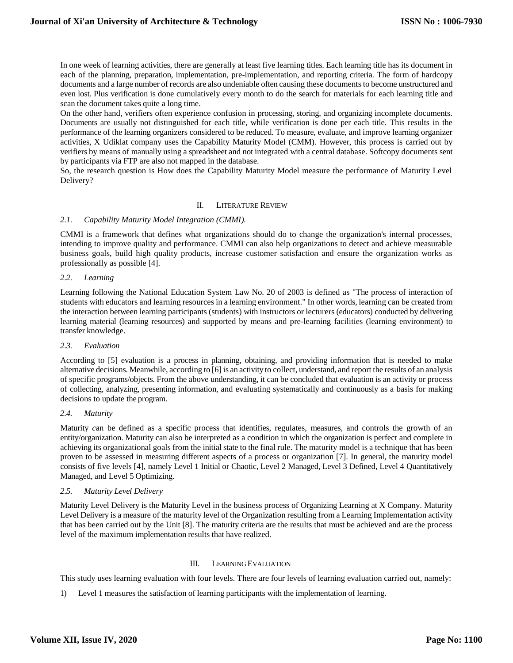In one week of learning activities, there are generally at least five learning titles. Each learning title has its document in each of the planning, preparation, implementation, pre-implementation, and reporting criteria. The form of hardcopy documents and a large number of records are also undeniable often causing these documents to become unstructured and even lost. Plus verification is done cumulatively every month to do the search for materials for each learning title and scan the document takes quite a long time.

On the other hand, verifiers often experience confusion in processing, storing, and organizing incomplete documents. Documents are usually not distinguished for each title, while verification is done per each title. This results in the performance of the learning organizers considered to be reduced. To measure, evaluate, and improve learning organizer activities, X Udiklat company uses the Capability Maturity Model (CMM). However, this process is carried out by verifiers by means of manually using a spreadsheet and not integrated with a central database. Softcopy documents sent by participants via FTP are also not mapped in the database.

So, the research question is How does the Capability Maturity Model measure the performance of Maturity Level Delivery?

# II. LITERATURE REVIEW

### *2.1. Capability Maturity Model Integration (CMMI).*

CMMI is a framework that defines what organizations should do to change the organization's internal processes, intending to improve quality and performance. CMMI can also help organizations to detect and achieve measurable business goals, build high quality products, increase customer satisfaction and ensure the organization works as professionally as possible [4].

#### *2.2. Learning*

Learning following the National Education System Law No. 20 of 2003 is defined as "The process of interaction of students with educators and learning resources in a learning environment." In other words, learning can be created from the interaction between learning participants (students) with instructors or lecturers (educators) conducted by delivering learning material (learning resources) and supported by means and pre-learning facilities (learning environment) to transfer knowledge.

### *2.3. Evaluation*

According to [5] evaluation is a process in planning, obtaining, and providing information that is needed to make alternative decisions. Meanwhile, according to [6] is an activity to collect, understand, and report the results of an analysis of specific programs/objects. From the above understanding, it can be concluded that evaluation is an activity or process of collecting, analyzing, presenting information, and evaluating systematically and continuously as a basis for making decisions to update the program.

## *2.4. Maturity*

Maturity *c*an be defined as a specific process that identifies, regulates, measures, and controls the growth of an entity/organization. Maturity can also be interpreted as a condition in which the organization is perfect and complete in achieving its organizational goals from the initial state to the final rule. The maturity model is a technique that has been proven to be assessed in measuring different aspects of a process or organization [7]. In general, the maturity model consists of five levels [4], namely Level 1 Initial or Chaotic, Level 2 Managed, Level 3 Defined, Level 4 Quantitatively Managed, and Level 5 Optimizing.

### *2.5. Maturity Level Delivery*

Maturity Level Delivery is the Maturity Level in the business process of Organizing Learning at X Company. Maturity Level Delivery is a measure of the maturity level of the Organization resulting from a Learning Implementation activity that has been carried out by the Unit [8]. The maturity criteria are the results that must be achieved and are the process level of the maximum implementation results that have realized.

### III. LEARNING EVALUATION

This study uses learning evaluation with four levels. There are four levels of learning evaluation carried out, namely:

1) Level 1 measures the satisfaction of learning participants with the implementation of learning.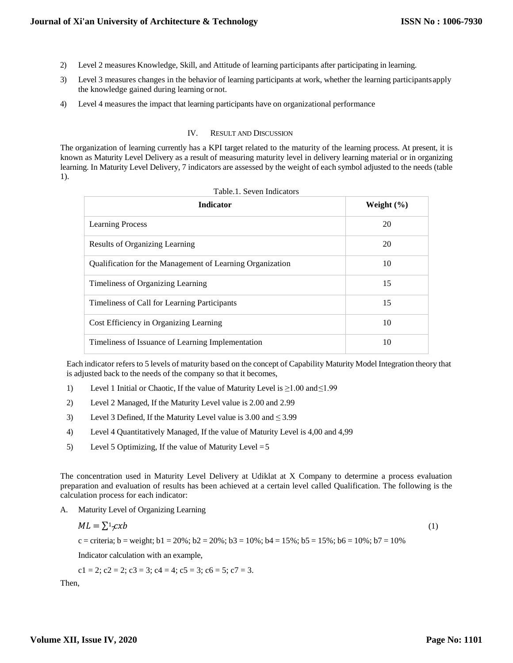- 2) Level 2 measures Knowledge, Skill, and Attitude of learning participants after participating in learning.
- 3) Level 3 measures changes in the behavior of learning participants at work, whether the learning participantsapply the knowledge gained during learning ornot.
- 4) Level 4 measures the impact that learning participants have on organizational performance

# IV. RESULT AND DISCUSSION

The organization of learning currently has a KPI target related to the maturity of the learning process. At present, it is known as Maturity Level Delivery as a result of measuring maturity level in delivery learning material or in organizing learning. In Maturity Level Delivery, 7 indicators are assessed by the weight of each symbol adjusted to the needs (table 1).

| <b>Indicator</b>                                          | Weight $(\% )$ |  |
|-----------------------------------------------------------|----------------|--|
| <b>Learning Process</b>                                   | 20             |  |
| <b>Results of Organizing Learning</b>                     | 20             |  |
| Qualification for the Management of Learning Organization | 10             |  |
| Timeliness of Organizing Learning                         | 15             |  |
| Timeliness of Call for Learning Participants              | 15             |  |
| Cost Efficiency in Organizing Learning                    | 10             |  |
| Timeliness of Issuance of Learning Implementation         | 10             |  |

|  | Table.1. Seven Indicators |
|--|---------------------------|
|  |                           |

Each indicator refersto 5 levels of maturity based on the concept of Capability Maturity Model Integration theory that is adjusted back to the needs of the company so that it becomes,

- 1) Level 1 Initial or Chaotic, If the value of Maturity Level is ≥1.00 and≤1.99
- 2) Level 2 Managed, If the Maturity Level value is 2.00 and 2.99
- 3) Level 3 Defined, If the Maturity Level value is  $3.00$  and  $\leq 3.99$
- 4) Level 4 Quantitatively Managed, If the value of Maturity Level is 4,00 and 4,99
- 5) Level 5 Optimizing, If the value of Maturity Level  $=$  5

The concentration used in Maturity Level Delivery at Udiklat at X Company to determine a process evaluation preparation and evaluation of results has been achieved at a certain level called Qualification. The following is the calculation process for each indicator:

A. Maturity Level of Organizing Learning

$$
ML = \sum_{i} x_i/b
$$

c = criteria; b = weight; b1 = 20%; b2 = 20%; b3 = 10%; b4 = 15%; b5 = 15%; b6 = 10%; b7 = 10%

Indicator calculation with an example,

c1 = 2; c2 = 2; c3 = 3; c4 = 4; c5 = 3; c6 = 5; c7 = 3.

Then,

(1)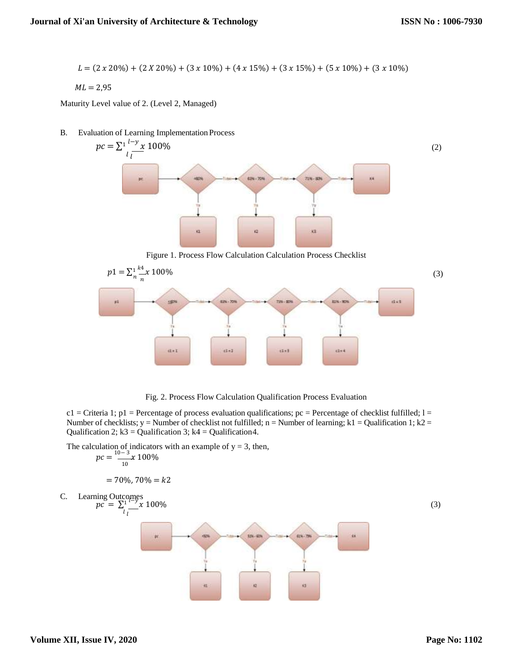$$
L = (2 \times 20\%) + (2 \times 20\%) + (3 \times 10\%) + (4 \times 15\%) + (3 \times 15\%) + (5 \times 10\%) + (3 \times 10\%)
$$

$$
ML=2.95
$$

Maturity Level value of 2. (Level 2, Managed)

B. Evaluation of Learning Implementation Process



Figure 1. Process Flow Calculation Calculation Process Checklist



Fig. 2. Process Flow Calculation Qualification Process Evaluation

 $c1$  = Criteria 1; p1 = Percentage of process evaluation qualifications; pc = Percentage of checklist fulfilled; 1 = Number of checklists; y = Number of checklist not fulfilled; n = Number of learning; k1 = Qualification 1; k2 = Qualification 2;  $k3 =$  Qualification 3;  $k4 =$  Qualification 4.

The calculation of indicators with an example of  $y = 3$ , then,

$$
pc = \frac{10-3}{10}x\,100\%
$$

$$
= 70\%, 70\% = k2
$$

C. Learning Outcomes  
\n
$$
pc = \sum_{l} \frac{1}{2} \sum_{l} \frac{100\%}{x}
$$
 (3)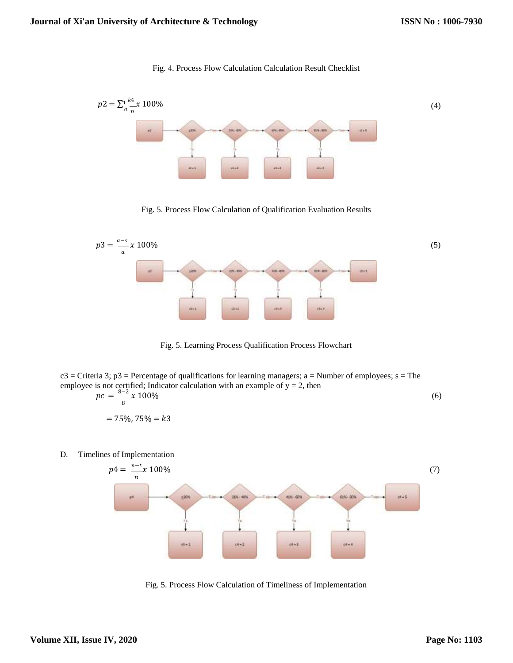



Fig. 5. Process Flow Calculation of Qualification Evaluation Results



Fig. 5. Learning Process Qualification Process Flowchart

 $c3$  = Criteria 3; p3 = Percentage of qualifications for learning managers; a = Number of employees; s = The employee is not certified; Indicator calculation with an example of  $y = 2$ , then  $pc = \frac{8-2}{8}x\ 100\%$  (6)  $= 75\%$ ,  $75\% = k3$ 

D. Timelines of Implementation



Fig. 5. Process Flow Calculation of Timeliness of Implementation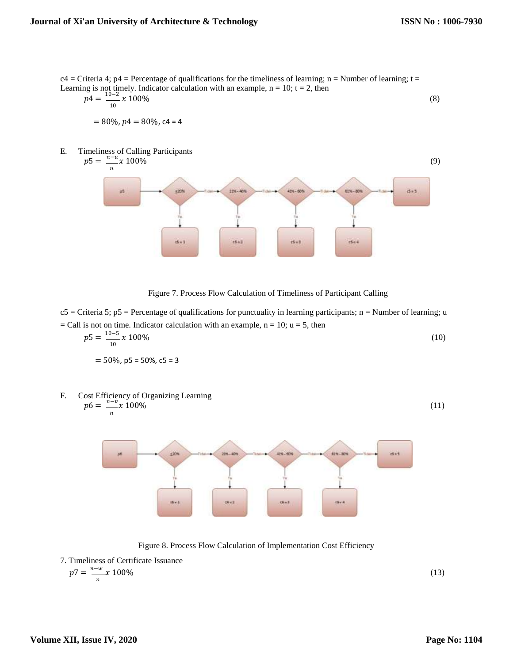$c4 =$ Criteria 4; p4 = Percentage of qualifications for the timeliness of learning; n = Number of learning; t = Learning is not timely. Indicator calculation with an example,  $n = 10$ ;  $t = 2$ , then

$$
p4 = \frac{10 - 2}{10} x \, 100\%
$$
\n
$$
= 80\%, \, p4 = 80\%, \, c4 = 4
$$
\n(8)

E. Timeliness of Calling Participants



Figure 7. Process Flow Calculation of Timeliness of Participant Calling

 $c5$  = Criteria 5; p5 = Percentage of qualifications for punctuality in learning participants; n = Number of learning; u  $=$  Call is not on time. Indicator calculation with an example, n = 10; u = 5, then  $10 - 5$ 

$$
p5 = \frac{10-3}{10}x \cdot 100\%
$$
  
= 50%, p5 = 50%, c5 = 3 (10)

F. Cost Efficiency of Organizing Learning  
\n
$$
p6 = \frac{n - v}{n} \times 100\%
$$
 (11)

Figure 8. Process Flow Calculation of Implementation Cost Efficiency

7. Timeliness of Certificate Issuance

$$
p7 = \frac{n-w}{n} \chi \ 100\%
$$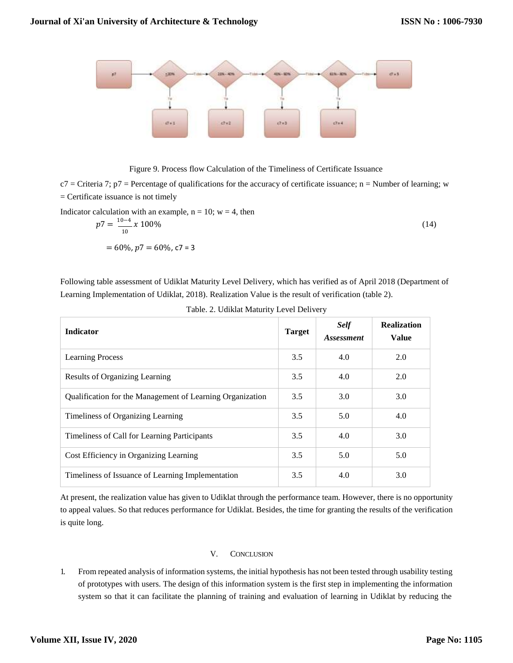

#### Figure 9. Process flow Calculation of the Timeliness of Certificate Issuance

 $c7$  = Criteria 7;  $p7$  = Percentage of qualifications for the accuracy of certificate issuance; n = Number of learning; w = Certificate issuance is not timely

Indicator calculation with an example,  $n = 10$ ;  $w = 4$ , then

$$
p7 = \frac{10-4}{10} x \, 100\%
$$
\n
$$
= 60\%, \, p7 = 60\%, \, c7 = 3
$$
\n
$$
(14)
$$

Following table assessment of Udiklat Maturity Level Delivery, which has verified as of April 2018 (Department of Learning Implementation of Udiklat, 2018). Realization Value is the result of verification (table 2).

| <b>Indicator</b>                                          | <b>Target</b> | <b>Self</b><br><i>Assessment</i> | <b>Realization</b><br><b>Value</b> |
|-----------------------------------------------------------|---------------|----------------------------------|------------------------------------|
| <b>Learning Process</b>                                   | 3.5           | 4.0                              | 2.0                                |
| Results of Organizing Learning                            | 3.5           | 4.0                              | 2.0                                |
| Qualification for the Management of Learning Organization | 3.5           | 3.0                              | 3.0                                |
| Timeliness of Organizing Learning                         | 3.5           | 5.0                              | 4.0                                |
| Timeliness of Call for Learning Participants              | 3.5           | 4.0                              | 3.0                                |
| Cost Efficiency in Organizing Learning                    | 3.5           | 5.0                              | 5.0                                |
| Timeliness of Issuance of Learning Implementation         | 3.5           | 4.0                              | 3.0                                |

Table. 2. Udiklat Maturity Level Delivery

At present, the realization value has given to Udiklat through the performance team. However, there is no opportunity to appeal values. So that reduces performance for Udiklat. Besides, the time for granting the results of the verification is quite long.

### V. CONCLUSION

1. From repeated analysis of information systems, the initial hypothesis has not been tested through usability testing of prototypes with users. The design of this information system is the first step in implementing the information system so that it can facilitate the planning of training and evaluation of learning in Udiklat by reducing the